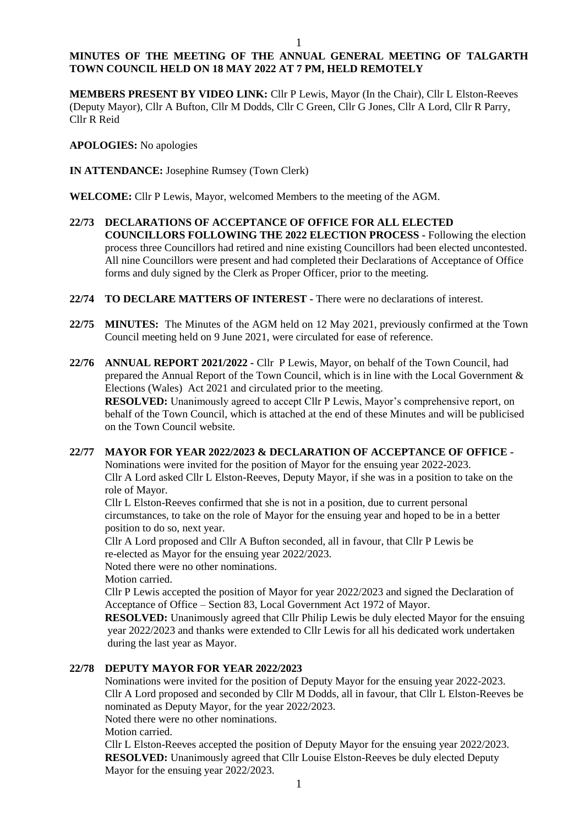# **MINUTES OF THE MEETING OF THE ANNUAL GENERAL MEETING OF TALGARTH TOWN COUNCIL HELD ON 18 MAY 2022 AT 7 PM, HELD REMOTELY**

**MEMBERS PRESENT BY VIDEO LINK:** Cllr P Lewis, Mayor (In the Chair), Cllr L Elston-Reeves (Deputy Mayor), Cllr A Bufton, Cllr M Dodds, Cllr C Green, Cllr G Jones, Cllr A Lord, Cllr R Parry, Cllr R Reid

**APOLOGIES:** No apologies

**IN ATTENDANCE:** Josephine Rumsey (Town Clerk)

**WELCOME:** Cllr P Lewis, Mayor, welcomed Members to the meeting of the AGM.

- **22/73 DECLARATIONS OF ACCEPTANCE OF OFFICE FOR ALL ELECTED COUNCILLORS FOLLOWING THE 2022 ELECTION PROCESS -** Following the election process three Councillors had retired and nine existing Councillors had been elected uncontested. All nine Councillors were present and had completed their Declarations of Acceptance of Office forms and duly signed by the Clerk as Proper Officer, prior to the meeting.
- **22/74 TO DECLARE MATTERS OF INTEREST -** There were no declarations of interest.
- **22/75 MINUTES:** The Minutes of the AGM held on 12 May 2021, previously confirmed at the Town Council meeting held on 9 June 2021, were circulated for ease of reference.
- **22/76 ANNUAL REPORT 2021/2022 -** Cllr P Lewis, Mayor, on behalf of the Town Council, had prepared the Annual Report of the Town Council, which is in line with the Local Government & Elections (Wales) Act 2021 and circulated prior to the meeting.

**RESOLVED:** Unanimously agreed to accept Cllr P Lewis, Mayor's comprehensive report, on behalf of the Town Council, which is attached at the end of these Minutes and will be publicised on the Town Council website.

### **22/77 MAYOR FOR YEAR 2022/2023 & DECLARATION OF ACCEPTANCE OF OFFICE -**

Nominations were invited for the position of Mayor for the ensuing year 2022-2023. Cllr A Lord asked Cllr L Elston-Reeves, Deputy Mayor, if she was in a position to take on the role of Mayor.

Cllr L Elston-Reeves confirmed that she is not in a position, due to current personal circumstances, to take on the role of Mayor for the ensuing year and hoped to be in a better position to do so, next year.

Cllr A Lord proposed and Cllr A Bufton seconded, all in favour, that Cllr P Lewis be re-elected as Mayor for the ensuing year 2022/2023.

Noted there were no other nominations.

Motion carried.

Cllr P Lewis accepted the position of Mayor for year 2022/2023 and signed the Declaration of Acceptance of Office – Section 83, Local Government Act 1972 of Mayor.

**RESOLVED:** Unanimously agreed that Cllr Philip Lewis be duly elected Mayor for the ensuing year 2022/2023 and thanks were extended to Cllr Lewis for all his dedicated work undertaken during the last year as Mayor.

# **22/78 DEPUTY MAYOR FOR YEAR 2022/2023**

Nominations were invited for the position of Deputy Mayor for the ensuing year 2022-2023. Cllr A Lord proposed and seconded by Cllr M Dodds, all in favour, that Cllr L Elston-Reeves be nominated as Deputy Mayor, for the year 2022/2023.

Noted there were no other nominations.

Motion carried.

Cllr L Elston-Reeves accepted the position of Deputy Mayor for the ensuing year 2022/2023. **RESOLVED:** Unanimously agreed that Cllr Louise Elston-Reeves be duly elected Deputy Mayor for the ensuing year 2022/2023.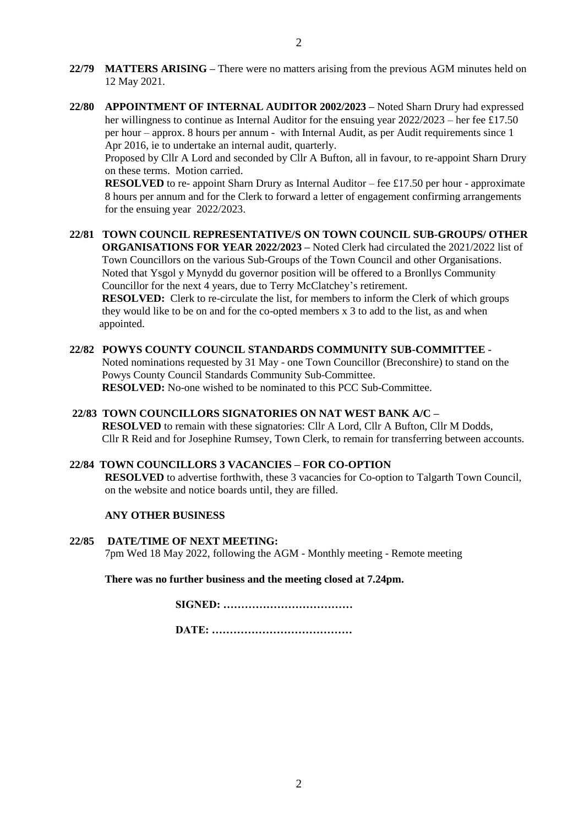- **22/79 MATTERS ARISING –** There were no matters arising from the previous AGM minutes held on 12 May 2021.
- **22/80 APPOINTMENT OF INTERNAL AUDITOR 2002/2023 –** Noted Sharn Drury had expressed her willingness to continue as Internal Auditor for the ensuing year  $2022/2023$  – her fee £17.50 per hour – approx. 8 hours per annum - with Internal Audit, as per Audit requirements since 1 Apr 2016, ie to undertake an internal audit, quarterly.

Proposed by Cllr A Lord and seconded by Cllr A Bufton, all in favour, to re-appoint Sharn Drury on these terms. Motion carried.

**RESOLVED** to re- appoint Sharn Drury as Internal Auditor – fee £17.50 per hour - approximate 8 hours per annum and for the Clerk to forward a letter of engagement confirming arrangements for the ensuing year 2022/2023.

**22/81 TOWN COUNCIL REPRESENTATIVE/S ON TOWN COUNCIL SUB-GROUPS/ OTHER ORGANISATIONS FOR YEAR 2022/2023 –** Noted Clerk had circulated the 2021/2022 list of Town Councillors on the various Sub-Groups of the Town Council and other Organisations. Noted that Ysgol y Mynydd du governor position will be offered to a Bronllys Community Councillor for the next 4 years, due to Terry McClatchey's retirement. **RESOLVED:** Clerk to re-circulate the list, for members to inform the Clerk of which groups

 they would like to be on and for the co-opted members x 3 to add to the list, as and when appointed.

### **22/82 POWYS COUNTY COUNCIL STANDARDS COMMUNITY SUB-COMMITTEE -**

Noted nominations requested by 31 May - one Town Councillor (Breconshire) to stand on the Powys County Council Standards Community Sub-Committee. **RESOLVED:** No-one wished to be nominated to this PCC Sub-Committee.

### **22/83 TOWN COUNCILLORS SIGNATORIES ON NAT WEST BANK A/C –**

 **RESOLVED** to remain with these signatories: Cllr A Lord, Cllr A Bufton, Cllr M Dodds, Cllr R Reid and for Josephine Rumsey, Town Clerk, to remain for transferring between accounts.

### **22/84 TOWN COUNCILLORS 3 VACANCIES – FOR CO-OPTION**

**RESOLVED** to advertise forthwith, these 3 vacancies for Co-option to Talgarth Town Council, on the website and notice boards until, they are filled.

### **ANY OTHER BUSINESS**

**22/85 DATE/TIME OF NEXT MEETING:**  7pm Wed 18 May 2022, following the AGM - Monthly meeting - Remote meeting

**There was no further business and the meeting closed at 7.24pm.**

**SIGNED: ……………………………… DATE: …………………………………**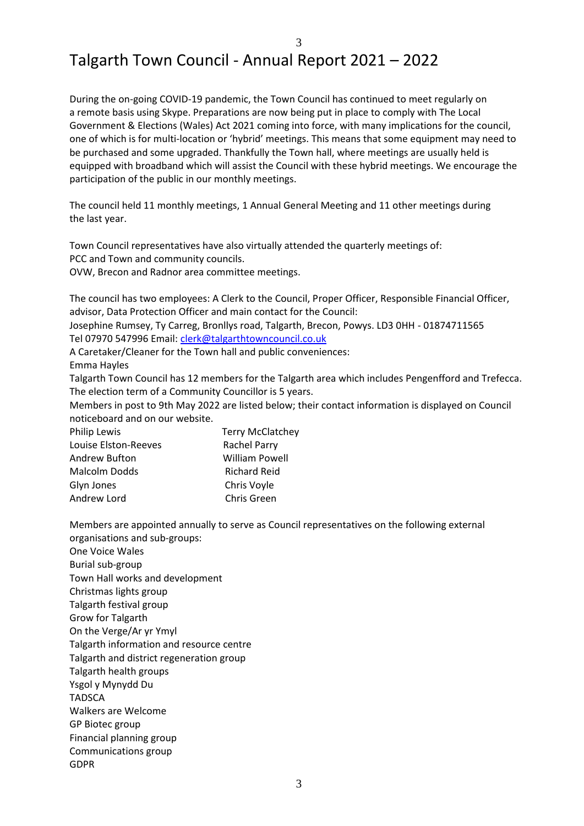### 3

# Talgarth Town Council - Annual Report 2021 – 2022

During the on-going COVID-19 pandemic, the Town Council has continued to meet regularly on a remote basis using Skype. Preparations are now being put in place to comply with The Local Government & Elections (Wales) Act 2021 coming into force, with many implications for the council, one of which is for multi-location or 'hybrid' meetings. This means that some equipment may need to be purchased and some upgraded. Thankfully the Town hall, where meetings are usually held is equipped with broadband which will assist the Council with these hybrid meetings. We encourage the participation of the public in our monthly meetings.

The council held 11 monthly meetings, 1 Annual General Meeting and 11 other meetings during the last year.

Town Council representatives have also virtually attended the quarterly meetings of: PCC and Town and community councils.

OVW, Brecon and Radnor area committee meetings.

The council has two employees: A Clerk to the Council, Proper Officer, Responsible Financial Officer, advisor, Data Protection Officer and main contact for the Council:

Josephine Rumsey, Ty Carreg, Bronllys road, Talgarth, Brecon, Powys. LD3 0HH - 01874711565 Tel 07970 547996 Email: [clerk@talgarthtowncouncil.co.uk](mailto:clerk@talgarthtowncouncil.co.uk)

A Caretaker/Cleaner for the Town hall and public conveniences:

Emma Hayles

Talgarth Town Council has 12 members for the Talgarth area which includes Pengenfford and Trefecca. The election term of a Community Councillor is 5 years.

Members in post to 9th May 2022 are listed below; their contact information is displayed on Council noticeboard and on our website.

| Philip Lewis         | <b>Terry McClatchey</b> |
|----------------------|-------------------------|
| Louise Elston-Reeves | Rachel Parry            |
| Andrew Bufton        | <b>William Powell</b>   |
| <b>Malcolm Dodds</b> | <b>Richard Reid</b>     |
| Glyn Jones           | Chris Voyle             |
| Andrew Lord          | Chris Green             |

Members are appointed annually to serve as Council representatives on the following external organisations and sub-groups:

One Voice Wales Burial sub-group Town Hall works and development Christmas lights group Talgarth festival group Grow for Talgarth On the Verge/Ar yr Ymyl Talgarth information and resource centre Talgarth and district regeneration group Talgarth health groups Ysgol y Mynydd Du **TADSCA** Walkers are Welcome GP Biotec group Financial planning group Communications group GDPR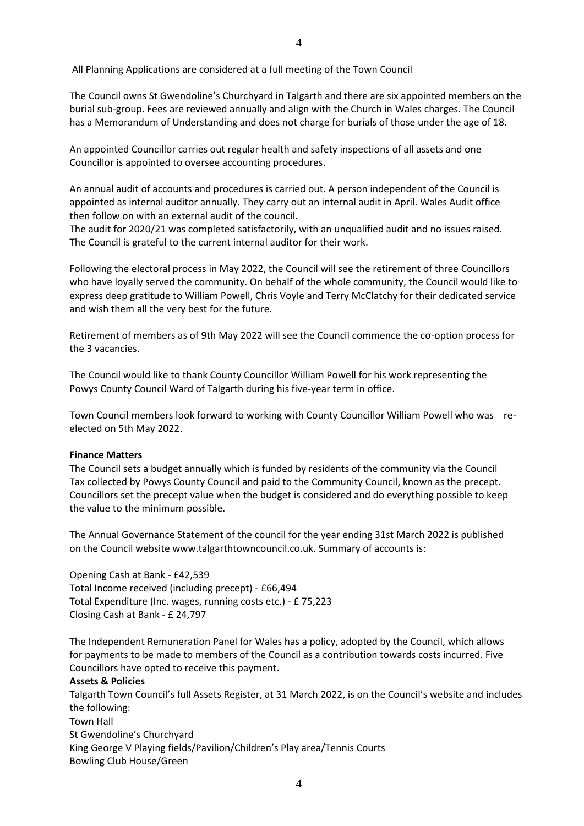All Planning Applications are considered at a full meeting of the Town Council

The Council owns St Gwendoline's Churchyard in Talgarth and there are six appointed members on the burial sub-group. Fees are reviewed annually and align with the Church in Wales charges. The Council has a Memorandum of Understanding and does not charge for burials of those under the age of 18.

An appointed Councillor carries out regular health and safety inspections of all assets and one Councillor is appointed to oversee accounting procedures.

An annual audit of accounts and procedures is carried out. A person independent of the Council is appointed as internal auditor annually. They carry out an internal audit in April. Wales Audit office then follow on with an external audit of the council.

The audit for 2020/21 was completed satisfactorily, with an unqualified audit and no issues raised. The Council is grateful to the current internal auditor for their work.

Following the electoral process in May 2022, the Council will see the retirement of three Councillors who have loyally served the community. On behalf of the whole community, the Council would like to express deep gratitude to William Powell, Chris Voyle and Terry McClatchy for their dedicated service and wish them all the very best for the future.

Retirement of members as of 9th May 2022 will see the Council commence the co-option process for the 3 vacancies.

The Council would like to thank County Councillor William Powell for his work representing the Powys County Council Ward of Talgarth during his five-year term in office.

Town Council members look forward to working with County Councillor William Powell who was reelected on 5th May 2022.

### **Finance Matters**

The Council sets a budget annually which is funded by residents of the community via the Council Tax collected by Powys County Council and paid to the Community Council, known as the precept. Councillors set the precept value when the budget is considered and do everything possible to keep the value to the minimum possible.

The Annual Governance Statement of the council for the year ending 31st March 2022 is published on the Council website www.talgarthtowncouncil.co.uk. Summary of accounts is:

Opening Cash at Bank - £42,539 Total Income received (including precept) - £66,494 Total Expenditure (Inc. wages, running costs etc.) - £ 75,223 Closing Cash at Bank - £ 24,797

The Independent Remuneration Panel for Wales has a policy, adopted by the Council, which allows for payments to be made to members of the Council as a contribution towards costs incurred. Five Councillors have opted to receive this payment.

#### **Assets & Policies**

Talgarth Town Council's full Assets Register, at 31 March 2022, is on the Council's website and includes the following: Town Hall St Gwendoline's Churchyard King George V Playing fields/Pavilion/Children's Play area/Tennis Courts Bowling Club House/Green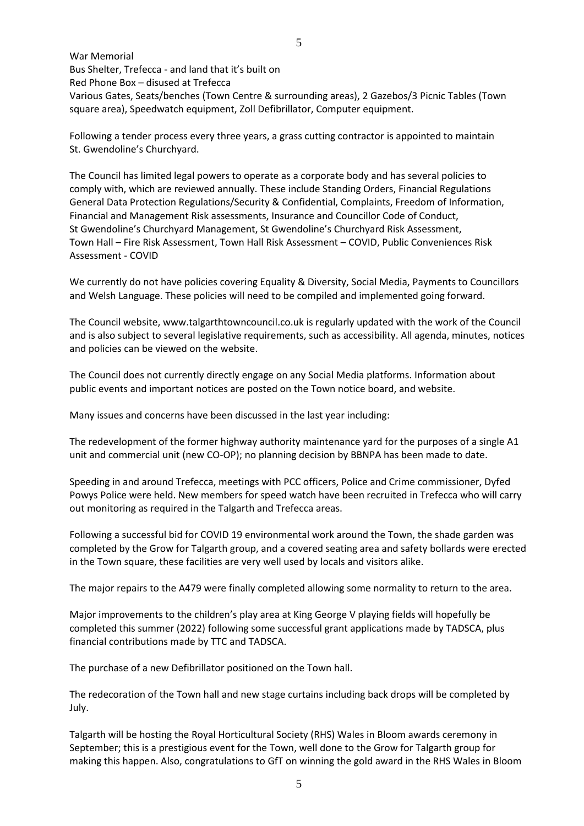War Memorial Bus Shelter, Trefecca - and land that it's built on Red Phone Box – disused at Trefecca Various Gates, Seats/benches (Town Centre & surrounding areas), 2 Gazebos/3 Picnic Tables (Town square area), Speedwatch equipment, Zoll Defibrillator, Computer equipment.

Following a tender process every three years, a grass cutting contractor is appointed to maintain St. Gwendoline's Churchyard.

The Council has limited legal powers to operate as a corporate body and has several policies to comply with, which are reviewed annually. These include Standing Orders, Financial Regulations General Data Protection Regulations/Security & Confidential, Complaints, Freedom of Information, Financial and Management Risk assessments, Insurance and Councillor Code of Conduct, St Gwendoline's Churchyard Management, St Gwendoline's Churchyard Risk Assessment, Town Hall – Fire Risk Assessment, Town Hall Risk Assessment – COVID, Public Conveniences Risk Assessment - COVID

We currently do not have policies covering Equality & Diversity, Social Media, Payments to Councillors and Welsh Language. These policies will need to be compiled and implemented going forward.

The Council website, www.talgarthtowncouncil.co.uk is regularly updated with the work of the Council and is also subject to several legislative requirements, such as accessibility. All agenda, minutes, notices and policies can be viewed on the website.

The Council does not currently directly engage on any Social Media platforms. Information about public events and important notices are posted on the Town notice board, and website.

Many issues and concerns have been discussed in the last year including:

The redevelopment of the former highway authority maintenance yard for the purposes of a single A1 unit and commercial unit (new CO-OP); no planning decision by BBNPA has been made to date.

Speeding in and around Trefecca, meetings with PCC officers, Police and Crime commissioner, Dyfed Powys Police were held. New members for speed watch have been recruited in Trefecca who will carry out monitoring as required in the Talgarth and Trefecca areas.

Following a successful bid for COVID 19 environmental work around the Town, the shade garden was completed by the Grow for Talgarth group, and a covered seating area and safety bollards were erected in the Town square, these facilities are very well used by locals and visitors alike.

The major repairs to the A479 were finally completed allowing some normality to return to the area.

Major improvements to the children's play area at King George V playing fields will hopefully be completed this summer (2022) following some successful grant applications made by TADSCA, plus financial contributions made by TTC and TADSCA.

The purchase of a new Defibrillator positioned on the Town hall.

The redecoration of the Town hall and new stage curtains including back drops will be completed by July.

Talgarth will be hosting the Royal Horticultural Society (RHS) Wales in Bloom awards ceremony in September; this is a prestigious event for the Town, well done to the Grow for Talgarth group for making this happen. Also, congratulations to GfT on winning the gold award in the RHS Wales in Bloom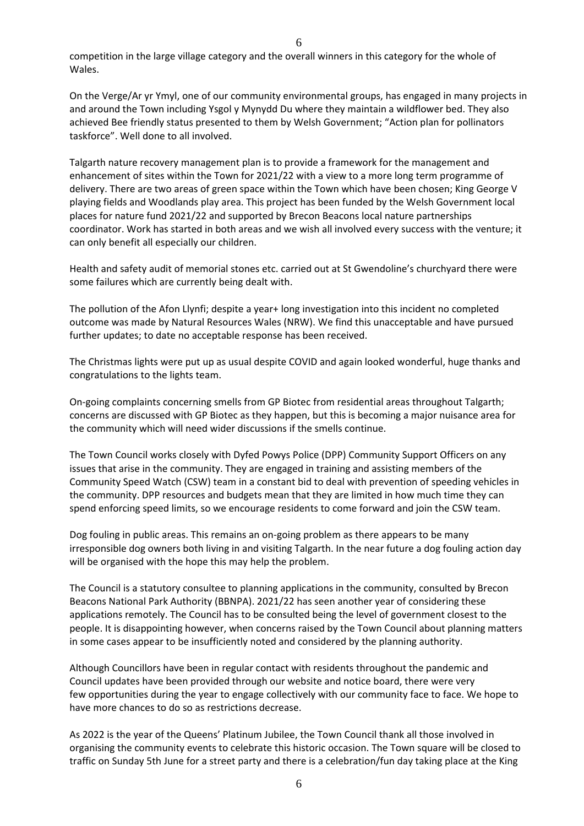competition in the large village category and the overall winners in this category for the whole of Wales.

On the Verge/Ar yr Ymyl, one of our community environmental groups, has engaged in many projects in and around the Town including Ysgol y Mynydd Du where they maintain a wildflower bed. They also achieved Bee friendly status presented to them by Welsh Government; "Action plan for pollinators taskforce". Well done to all involved.

Talgarth nature recovery management plan is to provide a framework for the management and enhancement of sites within the Town for 2021/22 with a view to a more long term programme of delivery. There are two areas of green space within the Town which have been chosen; King George V playing fields and Woodlands play area. This project has been funded by the Welsh Government local places for nature fund 2021/22 and supported by Brecon Beacons local nature partnerships coordinator. Work has started in both areas and we wish all involved every success with the venture; it can only benefit all especially our children.

Health and safety audit of memorial stones etc. carried out at St Gwendoline's churchyard there were some failures which are currently being dealt with.

The pollution of the Afon Llynfi; despite a year+ long investigation into this incident no completed outcome was made by Natural Resources Wales (NRW). We find this unacceptable and have pursued further updates; to date no acceptable response has been received.

The Christmas lights were put up as usual despite COVID and again looked wonderful, huge thanks and congratulations to the lights team.

On-going complaints concerning smells from GP Biotec from residential areas throughout Talgarth; concerns are discussed with GP Biotec as they happen, but this is becoming a major nuisance area for the community which will need wider discussions if the smells continue.

The Town Council works closely with Dyfed Powys Police (DPP) Community Support Officers on any issues that arise in the community. They are engaged in training and assisting members of the Community Speed Watch (CSW) team in a constant bid to deal with prevention of speeding vehicles in the community. DPP resources and budgets mean that they are limited in how much time they can spend enforcing speed limits, so we encourage residents to come forward and join the CSW team.

Dog fouling in public areas. This remains an on-going problem as there appears to be many irresponsible dog owners both living in and visiting Talgarth. In the near future a dog fouling action day will be organised with the hope this may help the problem.

The Council is a statutory consultee to planning applications in the community, consulted by Brecon Beacons National Park Authority (BBNPA). 2021/22 has seen another year of considering these applications remotely. The Council has to be consulted being the level of government closest to the people. It is disappointing however, when concerns raised by the Town Council about planning matters in some cases appear to be insufficiently noted and considered by the planning authority.

Although Councillors have been in regular contact with residents throughout the pandemic and Council updates have been provided through our website and notice board, there were very few opportunities during the year to engage collectively with our community face to face. We hope to have more chances to do so as restrictions decrease.

As 2022 is the year of the Queens' Platinum Jubilee, the Town Council thank all those involved in organising the community events to celebrate this historic occasion. The Town square will be closed to traffic on Sunday 5th June for a street party and there is a celebration/fun day taking place at the King